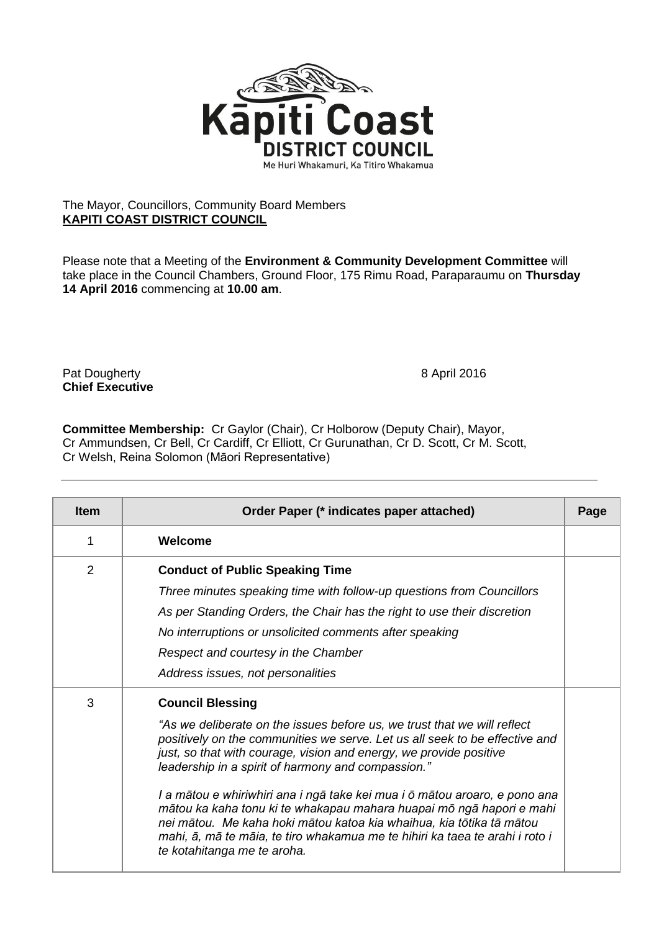

## The Mayor, Councillors, Community Board Members **KAPITI COAST DISTRICT COUNCIL**

Please note that a Meeting of the **Environment & Community Development Committee** will take place in the Council Chambers, Ground Floor, 175 Rimu Road, Paraparaumu on **Thursday 14 April 2016** commencing at **10.00 am**.

Pat Dougherty **8 April 2016 Chief Executive**

**Committee Membership:** Cr Gaylor (Chair), Cr Holborow (Deputy Chair), Mayor, Cr Ammundsen, Cr Bell, Cr Cardiff, Cr Elliott, Cr Gurunathan, Cr D. Scott, Cr M. Scott, Cr Welsh, Reina Solomon (Māori Representative)

| <b>Item</b> | Order Paper (* indicates paper attached)                                                                                                                                                                                                                                                                                                                                                                                                                                                                                                                                                                                                                    | Page |  |
|-------------|-------------------------------------------------------------------------------------------------------------------------------------------------------------------------------------------------------------------------------------------------------------------------------------------------------------------------------------------------------------------------------------------------------------------------------------------------------------------------------------------------------------------------------------------------------------------------------------------------------------------------------------------------------------|------|--|
| 1           | Welcome                                                                                                                                                                                                                                                                                                                                                                                                                                                                                                                                                                                                                                                     |      |  |
| 2           | <b>Conduct of Public Speaking Time</b><br>Three minutes speaking time with follow-up questions from Councillors<br>As per Standing Orders, the Chair has the right to use their discretion<br>No interruptions or unsolicited comments after speaking<br>Respect and courtesy in the Chamber<br>Address issues, not personalities                                                                                                                                                                                                                                                                                                                           |      |  |
| 3           | <b>Council Blessing</b><br>"As we deliberate on the issues before us, we trust that we will reflect<br>positively on the communities we serve. Let us all seek to be effective and<br>just, so that with courage, vision and energy, we provide positive<br>leadership in a spirit of harmony and compassion."<br>I a mātou e whiriwhiri ana i ngā take kei mua i ō mātou aroaro, e pono ana<br>mātou ka kaha tonu ki te whakapau mahara huapai mō ngā hapori e mahi<br>nei mātou. Me kaha hoki mātou katoa kia whaihua, kia tōtika tā mātou<br>mahi, ā, mā te māia, te tiro whakamua me te hihiri ka taea te arahi i roto i<br>te kotahitanga me te aroha. |      |  |